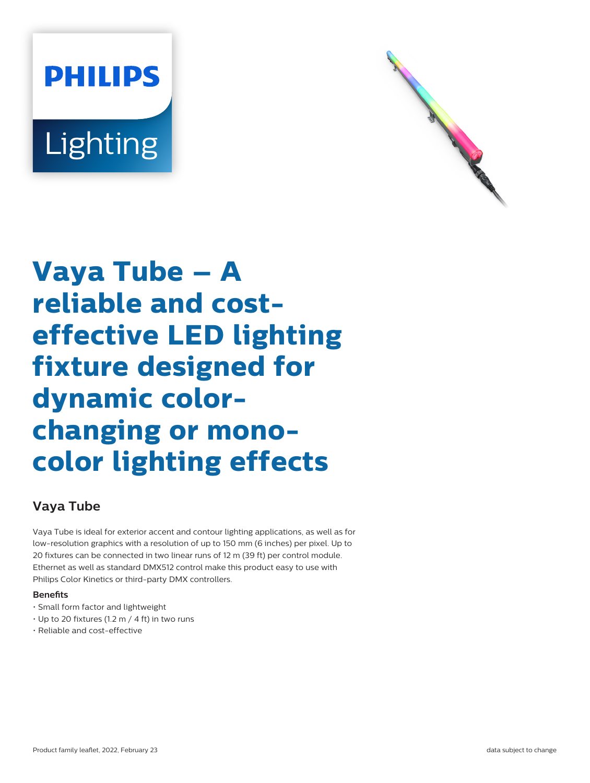



# **Vaya Tube – A reliable and costeffective LED lighting fixture designed for dynamic colorchanging or monocolor lighting effects**

## **Vaya Tube**

Vaya Tube is ideal for exterior accent and contour lighting applications, as well as for low-resolution graphics with a resolution of up to 150 mm (6 inches) per pixel. Up to 20 fixtures can be connected in two linear runs of 12 m (39 ft) per control module. Ethernet as well as standard DMX512 control make this product easy to use with Philips Color Kinetics or third-party DMX controllers.

### **Benets**

- Small form factor and lightweight
- Up to 20 fixtures (1.2 m / 4 ft) in two runs
- Reliable and cost-effective